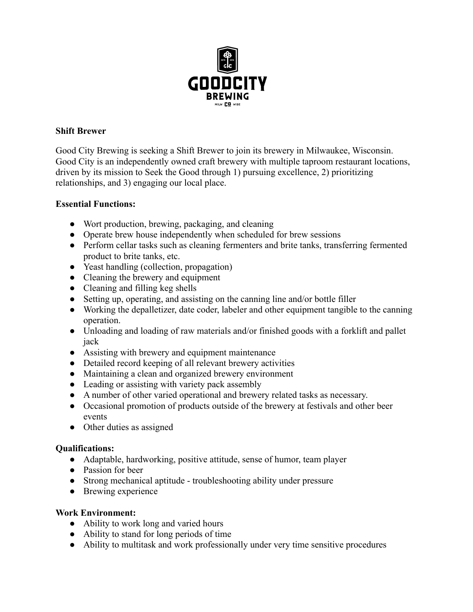

## **Shift Brewer**

Good City Brewing is seeking a Shift Brewer to join its brewery in Milwaukee, Wisconsin. Good City is an independently owned craft brewery with multiple taproom restaurant locations, driven by its mission to Seek the Good through 1) pursuing excellence, 2) prioritizing relationships, and 3) engaging our local place.

## **Essential Functions:**

- Wort production, brewing, packaging, and cleaning
- Operate brew house independently when scheduled for brew sessions
- Perform cellar tasks such as cleaning fermenters and brite tanks, transferring fermented product to brite tanks, etc.
- Yeast handling (collection, propagation)
- Cleaning the brewery and equipment
- Cleaning and filling keg shells
- Setting up, operating, and assisting on the canning line and/or bottle filler
- Working the depalletizer, date coder, labeler and other equipment tangible to the canning operation.
- Unloading and loading of raw materials and/or finished goods with a forklift and pallet jack
- Assisting with brewery and equipment maintenance
- Detailed record keeping of all relevant brewery activities
- Maintaining a clean and organized brewery environment
- Leading or assisting with variety pack assembly
- A number of other varied operational and brewery related tasks as necessary.
- Occasional promotion of products outside of the brewery at festivals and other beer events
- Other duties as assigned

## **Qualifications:**

- **●** Adaptable, hardworking, positive attitude, sense of humor, team player
- Passion for beer
- Strong mechanical aptitude troubleshooting ability under pressure
- Brewing experience

## **Work Environment:**

- Ability to work long and varied hours
- Ability to stand for long periods of time
- Ability to multitask and work professionally under very time sensitive procedures